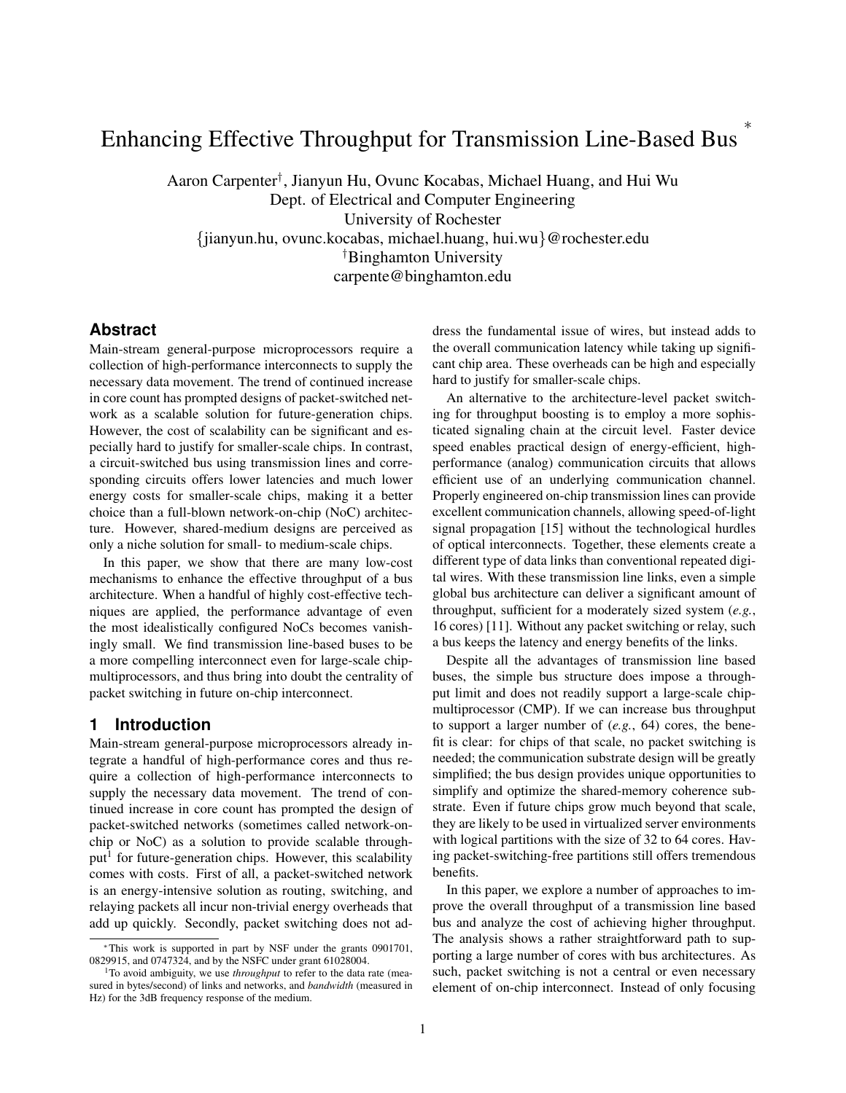# Enhancing Effective Throughput for Transmission Line-Based Bus

Aaron Carpenter† , Jianyun Hu, Ovunc Kocabas, Michael Huang, and Hui Wu Dept. of Electrical and Computer Engineering University of Rochester {jianyun.hu, ovunc.kocabas, michael.huang, hui.wu}@rochester.edu †Binghamton University carpente@binghamton.edu

# **Abstract**

Main-stream general-purpose microprocessors require a collection of high-performance interconnects to supply the necessary data movement. The trend of continued increase in core count has prompted designs of packet-switched network as a scalable solution for future-generation chips. However, the cost of scalability can be significant and especially hard to justify for smaller-scale chips. In contrast, a circuit-switched bus using transmission lines and corresponding circuits offers lower latencies and much lower energy costs for smaller-scale chips, making it a better choice than a full-blown network-on-chip (NoC) architecture. However, shared-medium designs are perceived as only a niche solution for small- to medium-scale chips.

In this paper, we show that there are many low-cost mechanisms to enhance the effective throughput of a bus architecture. When a handful of highly cost-effective techniques are applied, the performance advantage of even the most idealistically configured NoCs becomes vanishingly small. We find transmission line-based buses to be a more compelling interconnect even for large-scale chipmultiprocessors, and thus bring into doubt the centrality of packet switching in future on-chip interconnect.

## **1 Introduction**

Main-stream general-purpose microprocessors already integrate a handful of high-performance cores and thus require a collection of high-performance interconnects to supply the necessary data movement. The trend of continued increase in core count has prompted the design of packet-switched networks (sometimes called network-onchip or NoC) as a solution to provide scalable throughput<sup>1</sup> for future-generation chips. However, this scalability comes with costs. First of all, a packet-switched network is an energy-intensive solution as routing, switching, and relaying packets all incur non-trivial energy overheads that add up quickly. Secondly, packet switching does not address the fundamental issue of wires, but instead adds to the overall communication latency while taking up significant chip area. These overheads can be high and especially hard to justify for smaller-scale chips.

∗

An alternative to the architecture-level packet switching for throughput boosting is to employ a more sophisticated signaling chain at the circuit level. Faster device speed enables practical design of energy-efficient, highperformance (analog) communication circuits that allows efficient use of an underlying communication channel. Properly engineered on-chip transmission lines can provide excellent communication channels, allowing speed-of-light signal propagation [15] without the technological hurdles of optical interconnects. Together, these elements create a different type of data links than conventional repeated digital wires. With these transmission line links, even a simple global bus architecture can deliver a significant amount of throughput, sufficient for a moderately sized system (*e.g.*, 16 cores) [11]. Without any packet switching or relay, such a bus keeps the latency and energy benefits of the links.

Despite all the advantages of transmission line based buses, the simple bus structure does impose a throughput limit and does not readily support a large-scale chipmultiprocessor (CMP). If we can increase bus throughput to support a larger number of (*e.g.*, 64) cores, the benefit is clear: for chips of that scale, no packet switching is needed; the communication substrate design will be greatly simplified; the bus design provides unique opportunities to simplify and optimize the shared-memory coherence substrate. Even if future chips grow much beyond that scale, they are likely to be used in virtualized server environments with logical partitions with the size of 32 to 64 cores. Having packet-switching-free partitions still offers tremendous benefits.

In this paper, we explore a number of approaches to improve the overall throughput of a transmission line based bus and analyze the cost of achieving higher throughput. The analysis shows a rather straightforward path to supporting a large number of cores with bus architectures. As such, packet switching is not a central or even necessary element of on-chip interconnect. Instead of only focusing

<sup>∗</sup>This work is supported in part by NSF under the grants 0901701, 0829915, and 0747324, and by the NSFC under grant 61028004.

<sup>&</sup>lt;sup>1</sup>To avoid ambiguity, we use *throughput* to refer to the data rate (measured in bytes/second) of links and networks, and *bandwidth* (measured in Hz) for the 3dB frequency response of the medium.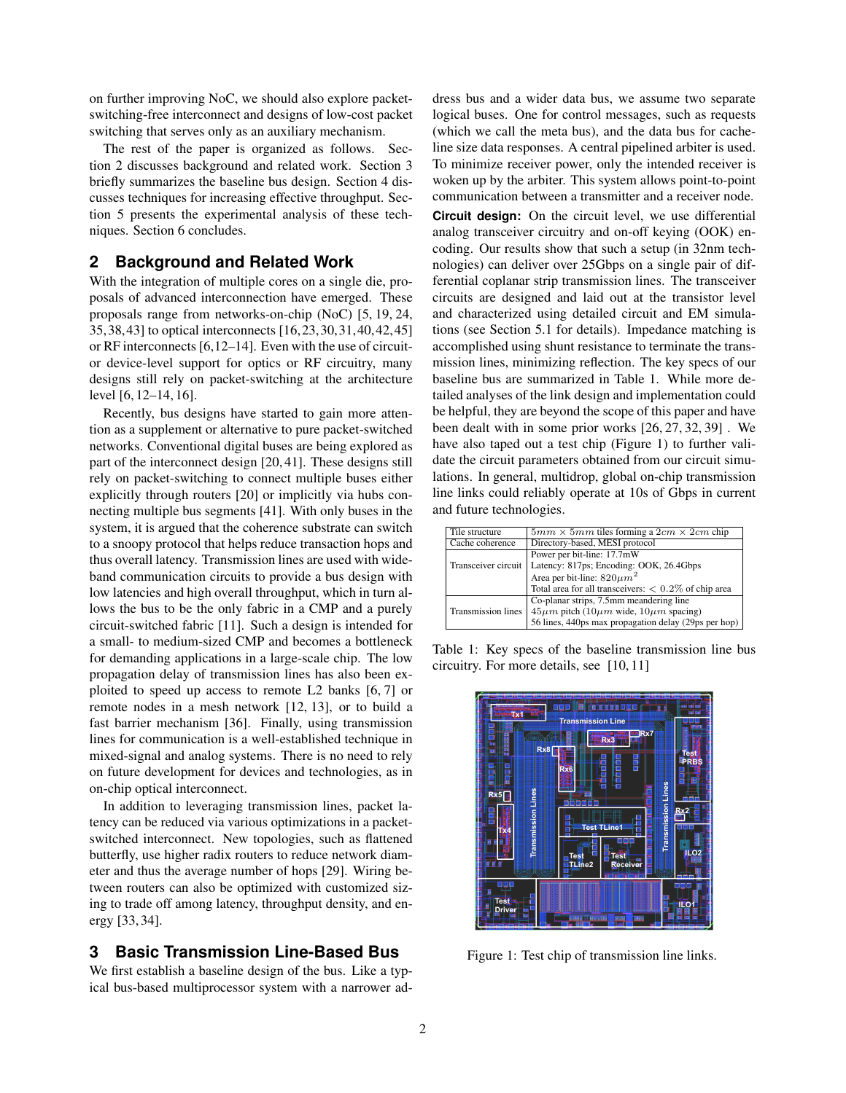on further improving NoC, we should also explore packetswitching-free interconnect and designs of low-cost packet switching that serves only as an auxiliary mechanism.

The rest of the paper is organized as follows. Section 2 discusses background and related work. Section 3 briefly summarizes the baseline bus design. Section 4 discusses techniques for increasing effective throughput. Section 5 presents the experimental analysis of these techniques. Section 6 concludes.

# **2 Background and Related Work**

With the integration of multiple cores on a single die, proposals of advanced interconnection have emerged. These proposals range from networks-on-chip (NoC) [5, 19, 24, 35,38,43] to optical interconnects [16,23,30,31,40,42,45] or RF interconnects [6,12–14]. Even with the use of circuitor device-level support for optics or RF circuitry, many designs still rely on packet-switching at the architecture level [6, 12–14, 16].

Recently, bus designs have started to gain more attention as a supplement or alternative to pure packet-switched networks. Conventional digital buses are being explored as part of the interconnect design [20, 41]. These designs still rely on packet-switching to connect multiple buses either explicitly through routers [20] or implicitly via hubs connecting multiple bus segments [41]. With only buses in the system, it is argued that the coherence substrate can switch to a snoopy protocol that helps reduce transaction hops and thus overall latency. Transmission lines are used with wideband communication circuits to provide a bus design with low latencies and high overall throughput, which in turn allows the bus to be the only fabric in a CMP and a purely circuit-switched fabric [11]. Such a design is intended for a small- to medium-sized CMP and becomes a bottleneck for demanding applications in a large-scale chip. The low propagation delay of transmission lines has also been exploited to speed up access to remote L2 banks [6, 7] or remote nodes in a mesh network [12, 13], or to build a fast barrier mechanism [36]. Finally, using transmission lines for communication is a well-established technique in mixed-signal and analog systems. There is no need to rely on future development for devices and technologies, as in on-chip optical interconnect.

In addition to leveraging transmission lines, packet latency can be reduced via various optimizations in a packetswitched interconnect. New topologies, such as flattened butterfly, use higher radix routers to reduce network diameter and thus the average number of hops [29]. Wiring between routers can also be optimized with customized sizing to trade off among latency, throughput density, and energy [33, 34].

# **3 Basic Transmission Line-Based Bus**

We first establish a baseline design of the bus. Like a typical bus-based multiprocessor system with a narrower address bus and a wider data bus, we assume two separate logical buses. One for control messages, such as requests (which we call the meta bus), and the data bus for cacheline size data responses. A central pipelined arbiter is used. To minimize receiver power, only the intended receiver is woken up by the arbiter. This system allows point-to-point communication between a transmitter and a receiver node.

**Circuit design:** On the circuit level, we use differential analog transceiver circuitry and on-off keying (OOK) encoding. Our results show that such a setup (in 32nm technologies) can deliver over 25Gbps on a single pair of differential coplanar strip transmission lines. The transceiver circuits are designed and laid out at the transistor level and characterized using detailed circuit and EM simulations (see Section 5.1 for details). Impedance matching is accomplished using shunt resistance to terminate the transmission lines, minimizing reflection. The key specs of our baseline bus are summarized in Table 1. While more detailed analyses of the link design and implementation could be helpful, they are beyond the scope of this paper and have been dealt with in some prior works [26, 27, 32, 39] . We have also taped out a test chip (Figure 1) to further validate the circuit parameters obtained from our circuit simulations. In general, multidrop, global on-chip transmission line links could reliably operate at 10s of Gbps in current and future technologies.

| Tile structure            | $5mm \times 5mm$ tiles forming a $2cm \times 2cm$ chip  |  |  |  |
|---------------------------|---------------------------------------------------------|--|--|--|
| Cache coherence           | Directory-based, MESI protocol                          |  |  |  |
|                           | Power per bit-line: 17.7mW                              |  |  |  |
| Transceiver circuit       | Latency: 817ps; Encoding: OOK, 26.4Gbps                 |  |  |  |
|                           | Area per bit-line: $820 \mu m^2$                        |  |  |  |
|                           | Total area for all transceivers: $< 0.2\%$ of chip area |  |  |  |
|                           | Co-planar strips, 7.5mm meandering line                 |  |  |  |
| <b>Transmission lines</b> | $45\mu m$ pitch ( $10\mu m$ wide, $10\mu m$ spacing)    |  |  |  |
|                           | 56 lines, 440ps max propagation delay (29ps per hop)    |  |  |  |

Table 1: Key specs of the baseline transmission line bus circuitry. For more details, see [10, 11]



Figure 1: Test chip of transmission line links.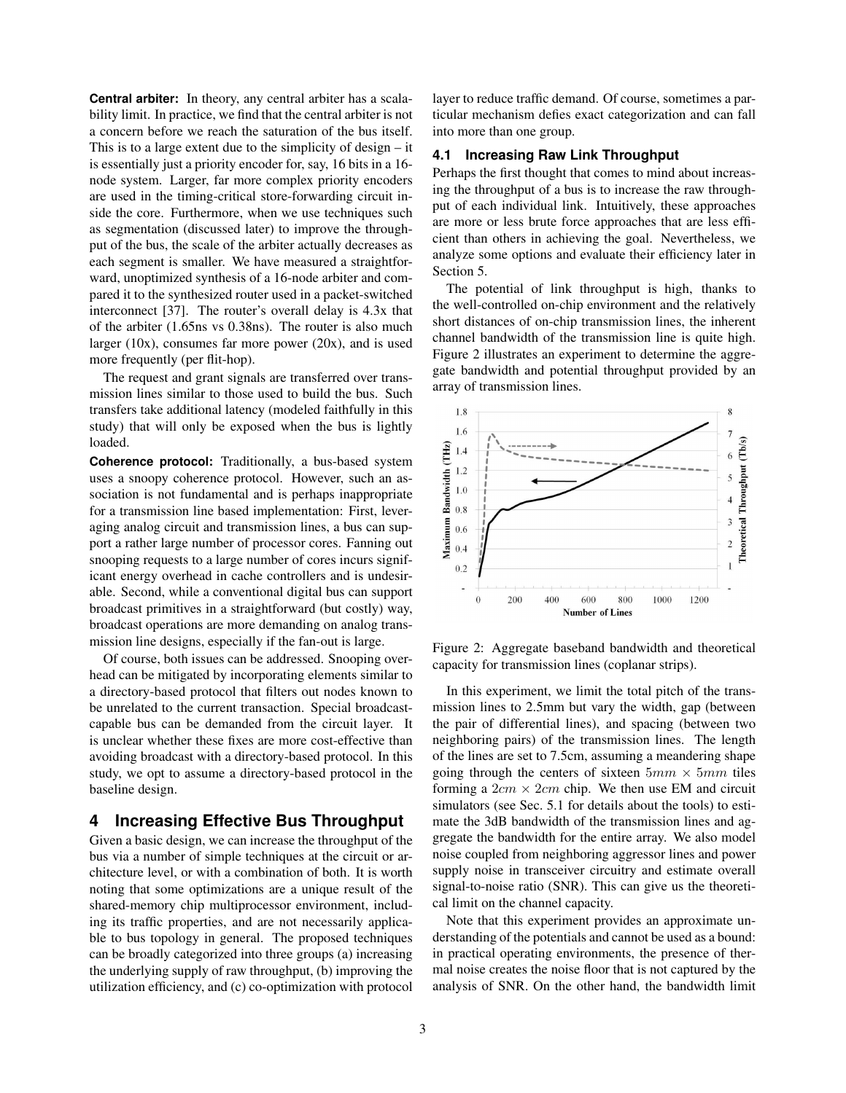**Central arbiter:** In theory, any central arbiter has a scalability limit. In practice, we find that the central arbiter is not a concern before we reach the saturation of the bus itself. This is to a large extent due to the simplicity of design – it is essentially just a priority encoder for, say, 16 bits in a 16 node system. Larger, far more complex priority encoders are used in the timing-critical store-forwarding circuit inside the core. Furthermore, when we use techniques such as segmentation (discussed later) to improve the throughput of the bus, the scale of the arbiter actually decreases as each segment is smaller. We have measured a straightforward, unoptimized synthesis of a 16-node arbiter and compared it to the synthesized router used in a packet-switched interconnect [37]. The router's overall delay is 4.3x that of the arbiter (1.65ns vs 0.38ns). The router is also much larger  $(10x)$ , consumes far more power  $(20x)$ , and is used more frequently (per flit-hop).

The request and grant signals are transferred over transmission lines similar to those used to build the bus. Such transfers take additional latency (modeled faithfully in this study) that will only be exposed when the bus is lightly loaded.

**Coherence protocol:** Traditionally, a bus-based system uses a snoopy coherence protocol. However, such an association is not fundamental and is perhaps inappropriate for a transmission line based implementation: First, leveraging analog circuit and transmission lines, a bus can support a rather large number of processor cores. Fanning out snooping requests to a large number of cores incurs significant energy overhead in cache controllers and is undesirable. Second, while a conventional digital bus can support broadcast primitives in a straightforward (but costly) way, broadcast operations are more demanding on analog transmission line designs, especially if the fan-out is large.

Of course, both issues can be addressed. Snooping overhead can be mitigated by incorporating elements similar to a directory-based protocol that filters out nodes known to be unrelated to the current transaction. Special broadcastcapable bus can be demanded from the circuit layer. It is unclear whether these fixes are more cost-effective than avoiding broadcast with a directory-based protocol. In this study, we opt to assume a directory-based protocol in the baseline design.

## **4 Increasing Effective Bus Throughput**

Given a basic design, we can increase the throughput of the bus via a number of simple techniques at the circuit or architecture level, or with a combination of both. It is worth noting that some optimizations are a unique result of the shared-memory chip multiprocessor environment, including its traffic properties, and are not necessarily applicable to bus topology in general. The proposed techniques can be broadly categorized into three groups (a) increasing the underlying supply of raw throughput, (b) improving the utilization efficiency, and (c) co-optimization with protocol

layer to reduce traffic demand. Of course, sometimes a particular mechanism defies exact categorization and can fall into more than one group.

#### **4.1 Increasing Raw Link Throughput**

Perhaps the first thought that comes to mind about increasing the throughput of a bus is to increase the raw throughput of each individual link. Intuitively, these approaches are more or less brute force approaches that are less efficient than others in achieving the goal. Nevertheless, we analyze some options and evaluate their efficiency later in Section 5.

The potential of link throughput is high, thanks to the well-controlled on-chip environment and the relatively short distances of on-chip transmission lines, the inherent channel bandwidth of the transmission line is quite high. Figure 2 illustrates an experiment to determine the aggregate bandwidth and potential throughput provided by an array of transmission lines.



Figure 2: Aggregate baseband bandwidth and theoretical capacity for transmission lines (coplanar strips).

In this experiment, we limit the total pitch of the transmission lines to 2.5mm but vary the width, gap (between the pair of differential lines), and spacing (between two neighboring pairs) of the transmission lines. The length of the lines are set to 7.5cm, assuming a meandering shape going through the centers of sixteen  $5mm \times 5mm$  tiles forming a  $2cm \times 2cm$  chip. We then use EM and circuit simulators (see Sec. 5.1 for details about the tools) to estimate the 3dB bandwidth of the transmission lines and aggregate the bandwidth for the entire array. We also model noise coupled from neighboring aggressor lines and power supply noise in transceiver circuitry and estimate overall signal-to-noise ratio (SNR). This can give us the theoretical limit on the channel capacity.

Note that this experiment provides an approximate understanding of the potentials and cannot be used as a bound: in practical operating environments, the presence of thermal noise creates the noise floor that is not captured by the analysis of SNR. On the other hand, the bandwidth limit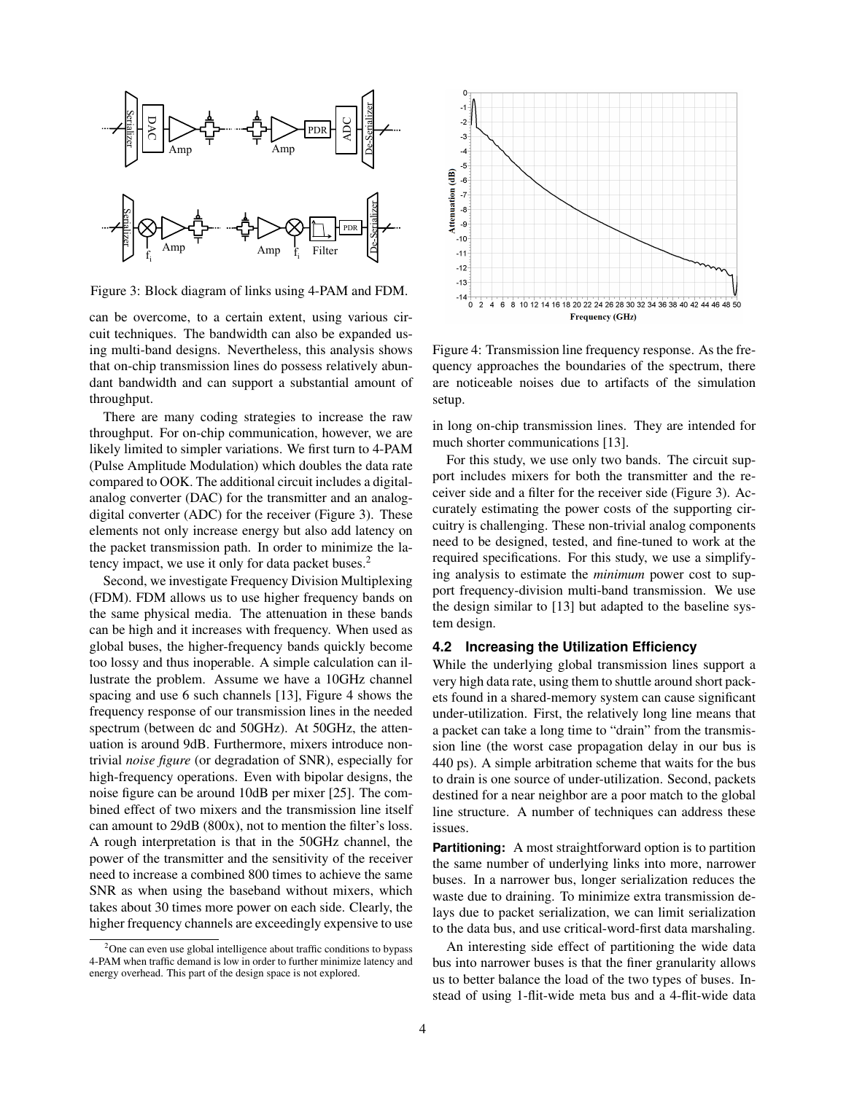

Figure 3: Block diagram of links using 4-PAM and FDM.

can be overcome, to a certain extent, using various circuit techniques. The bandwidth can also be expanded using multi-band designs. Nevertheless, this analysis shows that on-chip transmission lines do possess relatively abundant bandwidth and can support a substantial amount of throughput.

There are many coding strategies to increase the raw throughput. For on-chip communication, however, we are likely limited to simpler variations. We first turn to 4-PAM (Pulse Amplitude Modulation) which doubles the data rate compared to OOK. The additional circuit includes a digitalanalog converter (DAC) for the transmitter and an analogdigital converter (ADC) for the receiver (Figure 3). These elements not only increase energy but also add latency on the packet transmission path. In order to minimize the latency impact, we use it only for data packet buses.<sup>2</sup>

Second, we investigate Frequency Division Multiplexing (FDM). FDM allows us to use higher frequency bands on the same physical media. The attenuation in these bands can be high and it increases with frequency. When used as global buses, the higher-frequency bands quickly become too lossy and thus inoperable. A simple calculation can illustrate the problem. Assume we have a 10GHz channel spacing and use 6 such channels [13], Figure 4 shows the frequency response of our transmission lines in the needed spectrum (between dc and 50GHz). At 50GHz, the attenuation is around 9dB. Furthermore, mixers introduce nontrivial *noise figure* (or degradation of SNR), especially for high-frequency operations. Even with bipolar designs, the noise figure can be around 10dB per mixer [25]. The combined effect of two mixers and the transmission line itself can amount to 29dB (800x), not to mention the filter's loss. A rough interpretation is that in the 50GHz channel, the power of the transmitter and the sensitivity of the receiver need to increase a combined 800 times to achieve the same SNR as when using the baseband without mixers, which takes about 30 times more power on each side. Clearly, the higher frequency channels are exceedingly expensive to use



Figure 4: Transmission line frequency response. As the frequency approaches the boundaries of the spectrum, there are noticeable noises due to artifacts of the simulation setup.

in long on-chip transmission lines. They are intended for much shorter communications [13].

For this study, we use only two bands. The circuit support includes mixers for both the transmitter and the receiver side and a filter for the receiver side (Figure 3). Accurately estimating the power costs of the supporting circuitry is challenging. These non-trivial analog components need to be designed, tested, and fine-tuned to work at the required specifications. For this study, we use a simplifying analysis to estimate the *minimum* power cost to support frequency-division multi-band transmission. We use the design similar to [13] but adapted to the baseline system design.

## **4.2 Increasing the Utilization Efficiency**

While the underlying global transmission lines support a very high data rate, using them to shuttle around short packets found in a shared-memory system can cause significant under-utilization. First, the relatively long line means that a packet can take a long time to "drain" from the transmission line (the worst case propagation delay in our bus is 440 ps). A simple arbitration scheme that waits for the bus to drain is one source of under-utilization. Second, packets destined for a near neighbor are a poor match to the global line structure. A number of techniques can address these issues.

**Partitioning:** A most straightforward option is to partition the same number of underlying links into more, narrower buses. In a narrower bus, longer serialization reduces the waste due to draining. To minimize extra transmission delays due to packet serialization, we can limit serialization to the data bus, and use critical-word-first data marshaling.

An interesting side effect of partitioning the wide data bus into narrower buses is that the finer granularity allows us to better balance the load of the two types of buses. Instead of using 1-flit-wide meta bus and a 4-flit-wide data

<sup>&</sup>lt;sup>2</sup>One can even use global intelligence about traffic conditions to bypass 4-PAM when traffic demand is low in order to further minimize latency and energy overhead. This part of the design space is not explored.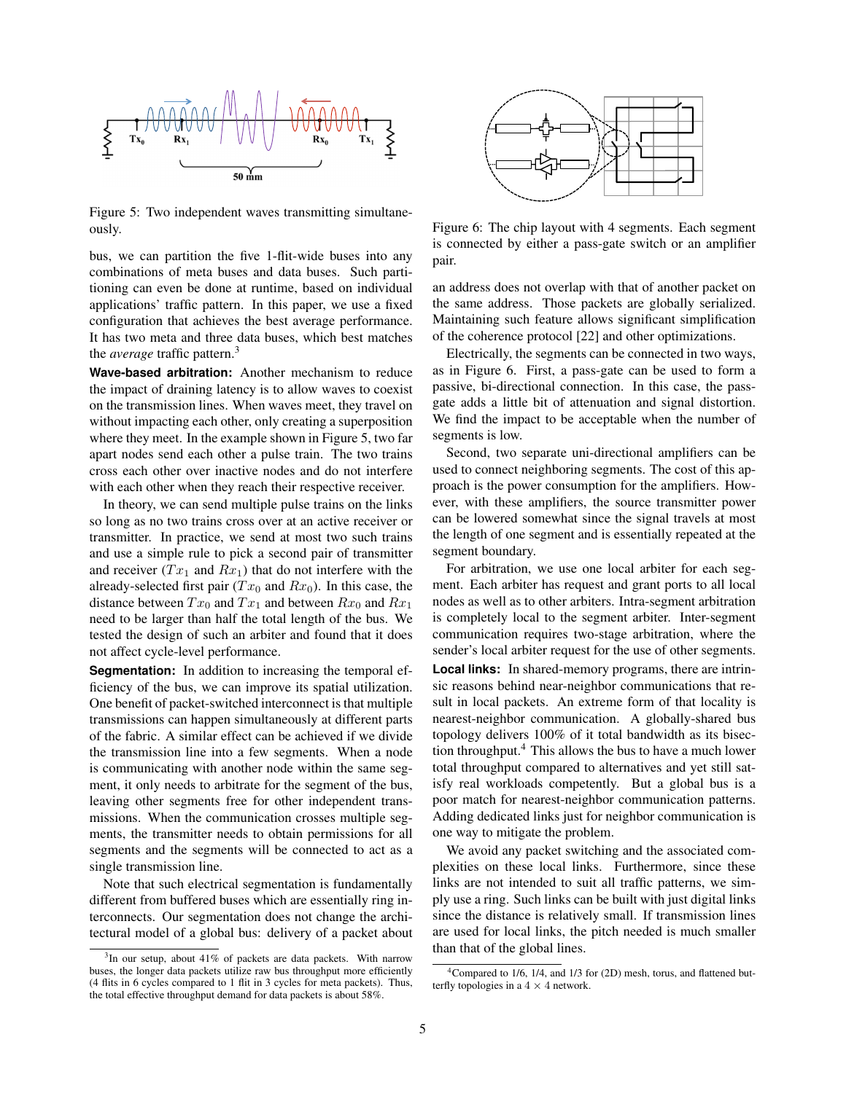

Figure 5: Two independent waves transmitting simultaneously.

bus, we can partition the five 1-flit-wide buses into any combinations of meta buses and data buses. Such partitioning can even be done at runtime, based on individual applications' traffic pattern. In this paper, we use a fixed configuration that achieves the best average performance. It has two meta and three data buses, which best matches the *average* traffic pattern.<sup>3</sup>

**Wave-based arbitration:** Another mechanism to reduce the impact of draining latency is to allow waves to coexist on the transmission lines. When waves meet, they travel on without impacting each other, only creating a superposition where they meet. In the example shown in Figure 5, two far apart nodes send each other a pulse train. The two trains cross each other over inactive nodes and do not interfere with each other when they reach their respective receiver.

In theory, we can send multiple pulse trains on the links so long as no two trains cross over at an active receiver or transmitter. In practice, we send at most two such trains and use a simple rule to pick a second pair of transmitter and receiver  $(Tx_1$  and  $Rx_1$ ) that do not interfere with the already-selected first pair  $(T x_0$  and  $Rx_0$ ). In this case, the distance between  $Tx_0$  and  $Tx_1$  and between  $Rx_0$  and  $Rx_1$ need to be larger than half the total length of the bus. We tested the design of such an arbiter and found that it does not affect cycle-level performance.

**Segmentation:** In addition to increasing the temporal efficiency of the bus, we can improve its spatial utilization. One benefit of packet-switched interconnect is that multiple transmissions can happen simultaneously at different parts of the fabric. A similar effect can be achieved if we divide the transmission line into a few segments. When a node is communicating with another node within the same segment, it only needs to arbitrate for the segment of the bus, leaving other segments free for other independent transmissions. When the communication crosses multiple segments, the transmitter needs to obtain permissions for all segments and the segments will be connected to act as a single transmission line.

Note that such electrical segmentation is fundamentally different from buffered buses which are essentially ring interconnects. Our segmentation does not change the architectural model of a global bus: delivery of a packet about



Figure 6: The chip layout with 4 segments. Each segment is connected by either a pass-gate switch or an amplifier pair.

an address does not overlap with that of another packet on the same address. Those packets are globally serialized. Maintaining such feature allows significant simplification of the coherence protocol [22] and other optimizations.

Electrically, the segments can be connected in two ways, as in Figure 6. First, a pass-gate can be used to form a passive, bi-directional connection. In this case, the passgate adds a little bit of attenuation and signal distortion. We find the impact to be acceptable when the number of segments is low.

Second, two separate uni-directional amplifiers can be used to connect neighboring segments. The cost of this approach is the power consumption for the amplifiers. However, with these amplifiers, the source transmitter power can be lowered somewhat since the signal travels at most the length of one segment and is essentially repeated at the segment boundary.

For arbitration, we use one local arbiter for each segment. Each arbiter has request and grant ports to all local nodes as well as to other arbiters. Intra-segment arbitration is completely local to the segment arbiter. Inter-segment communication requires two-stage arbitration, where the sender's local arbiter request for the use of other segments. **Local links:** In shared-memory programs, there are intrinsic reasons behind near-neighbor communications that result in local packets. An extreme form of that locality is nearest-neighbor communication. A globally-shared bus topology delivers 100% of it total bandwidth as its bisection throughput.<sup>4</sup> This allows the bus to have a much lower total throughput compared to alternatives and yet still satisfy real workloads competently. But a global bus is a poor match for nearest-neighbor communication patterns. Adding dedicated links just for neighbor communication is one way to mitigate the problem.

We avoid any packet switching and the associated complexities on these local links. Furthermore, since these links are not intended to suit all traffic patterns, we simply use a ring. Such links can be built with just digital links since the distance is relatively small. If transmission lines are used for local links, the pitch needed is much smaller than that of the global lines.

<sup>&</sup>lt;sup>3</sup>In our setup, about 41% of packets are data packets. With narrow buses, the longer data packets utilize raw bus throughput more efficiently (4 flits in 6 cycles compared to 1 flit in 3 cycles for meta packets). Thus, the total effective throughput demand for data packets is about 58%.

<sup>&</sup>lt;sup>4</sup>Compared to 1/6, 1/4, and 1/3 for (2D) mesh, torus, and flattened butterfly topologies in a  $4 \times 4$  network.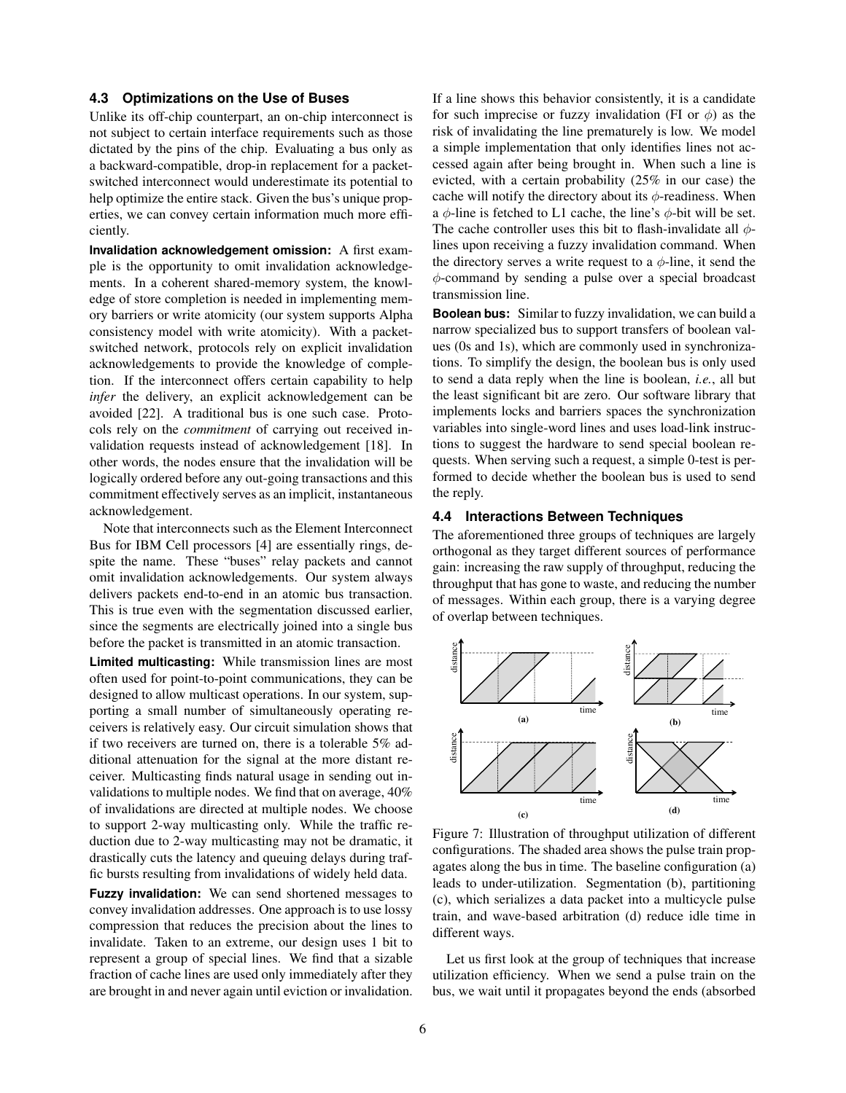## **4.3 Optimizations on the Use of Buses**

Unlike its off-chip counterpart, an on-chip interconnect is not subject to certain interface requirements such as those dictated by the pins of the chip. Evaluating a bus only as a backward-compatible, drop-in replacement for a packetswitched interconnect would underestimate its potential to help optimize the entire stack. Given the bus's unique properties, we can convey certain information much more efficiently.

**Invalidation acknowledgement omission:** A first example is the opportunity to omit invalidation acknowledgements. In a coherent shared-memory system, the knowledge of store completion is needed in implementing memory barriers or write atomicity (our system supports Alpha consistency model with write atomicity). With a packetswitched network, protocols rely on explicit invalidation acknowledgements to provide the knowledge of completion. If the interconnect offers certain capability to help *infer* the delivery, an explicit acknowledgement can be avoided [22]. A traditional bus is one such case. Protocols rely on the *commitment* of carrying out received invalidation requests instead of acknowledgement [18]. In other words, the nodes ensure that the invalidation will be logically ordered before any out-going transactions and this commitment effectively serves as an implicit, instantaneous acknowledgement.

Note that interconnects such as the Element Interconnect Bus for IBM Cell processors [4] are essentially rings, despite the name. These "buses" relay packets and cannot omit invalidation acknowledgements. Our system always delivers packets end-to-end in an atomic bus transaction. This is true even with the segmentation discussed earlier, since the segments are electrically joined into a single bus before the packet is transmitted in an atomic transaction.

**Limited multicasting:** While transmission lines are most often used for point-to-point communications, they can be designed to allow multicast operations. In our system, supporting a small number of simultaneously operating receivers is relatively easy. Our circuit simulation shows that if two receivers are turned on, there is a tolerable 5% additional attenuation for the signal at the more distant receiver. Multicasting finds natural usage in sending out invalidations to multiple nodes. We find that on average, 40% of invalidations are directed at multiple nodes. We choose to support 2-way multicasting only. While the traffic reduction due to 2-way multicasting may not be dramatic, it drastically cuts the latency and queuing delays during traffic bursts resulting from invalidations of widely held data.

**Fuzzy invalidation:** We can send shortened messages to convey invalidation addresses. One approach is to use lossy compression that reduces the precision about the lines to invalidate. Taken to an extreme, our design uses 1 bit to represent a group of special lines. We find that a sizable fraction of cache lines are used only immediately after they are brought in and never again until eviction or invalidation.

If a line shows this behavior consistently, it is a candidate for such imprecise or fuzzy invalidation (FI or  $\phi$ ) as the risk of invalidating the line prematurely is low. We model a simple implementation that only identifies lines not accessed again after being brought in. When such a line is evicted, with a certain probability (25% in our case) the cache will notify the directory about its  $\phi$ -readiness. When a  $\phi$ -line is fetched to L1 cache, the line's  $\phi$ -bit will be set. The cache controller uses this bit to flash-invalidate all  $\phi$ lines upon receiving a fuzzy invalidation command. When the directory serves a write request to a  $\phi$ -line, it send the  $\phi$ -command by sending a pulse over a special broadcast transmission line.

**Boolean bus:** Similar to fuzzy invalidation, we can build a narrow specialized bus to support transfers of boolean values (0s and 1s), which are commonly used in synchronizations. To simplify the design, the boolean bus is only used to send a data reply when the line is boolean, *i.e.*, all but the least significant bit are zero. Our software library that implements locks and barriers spaces the synchronization variables into single-word lines and uses load-link instructions to suggest the hardware to send special boolean requests. When serving such a request, a simple 0-test is performed to decide whether the boolean bus is used to send the reply.

#### **4.4 Interactions Between Techniques**

The aforementioned three groups of techniques are largely orthogonal as they target different sources of performance gain: increasing the raw supply of throughput, reducing the throughput that has gone to waste, and reducing the number of messages. Within each group, there is a varying degree of overlap between techniques.



Figure 7: Illustration of throughput utilization of different configurations. The shaded area shows the pulse train propagates along the bus in time. The baseline configuration (a) leads to under-utilization. Segmentation (b), partitioning (c), which serializes a data packet into a multicycle pulse train, and wave-based arbitration (d) reduce idle time in different ways.

Let us first look at the group of techniques that increase utilization efficiency. When we send a pulse train on the bus, we wait until it propagates beyond the ends (absorbed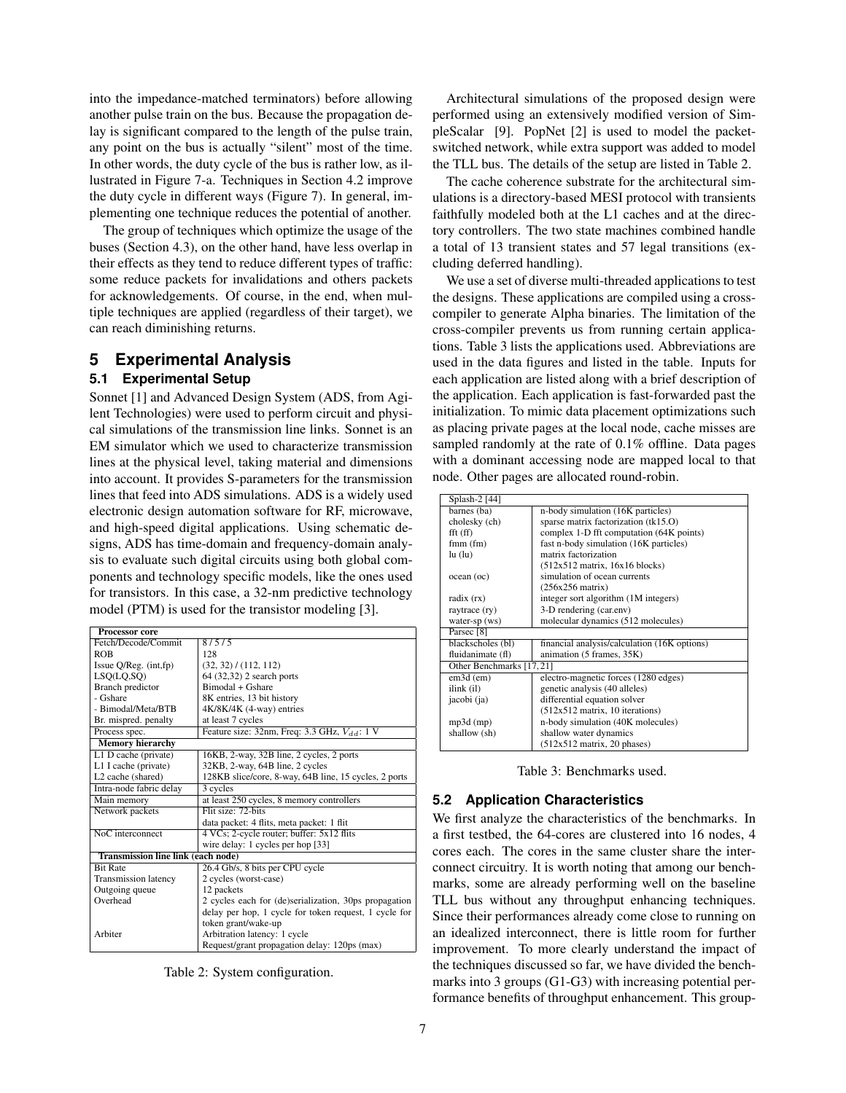into the impedance-matched terminators) before allowing another pulse train on the bus. Because the propagation delay is significant compared to the length of the pulse train, any point on the bus is actually "silent" most of the time. In other words, the duty cycle of the bus is rather low, as illustrated in Figure 7-a. Techniques in Section 4.2 improve the duty cycle in different ways (Figure 7). In general, implementing one technique reduces the potential of another.

The group of techniques which optimize the usage of the buses (Section 4.3), on the other hand, have less overlap in their effects as they tend to reduce different types of traffic: some reduce packets for invalidations and others packets for acknowledgements. Of course, in the end, when multiple techniques are applied (regardless of their target), we can reach diminishing returns.

## **5 Experimental Analysis**

## **5.1 Experimental Setup**

Sonnet [1] and Advanced Design System (ADS, from Agilent Technologies) were used to perform circuit and physical simulations of the transmission line links. Sonnet is an EM simulator which we used to characterize transmission lines at the physical level, taking material and dimensions into account. It provides S-parameters for the transmission lines that feed into ADS simulations. ADS is a widely used electronic design automation software for RF, microwave, and high-speed digital applications. Using schematic designs, ADS has time-domain and frequency-domain analysis to evaluate such digital circuits using both global components and technology specific models, like the ones used for transistors. In this case, a 32-nm predictive technology model (PTM) is used for the transistor modeling [3].

| <b>Processor</b> core                     |                                                       |  |  |  |  |
|-------------------------------------------|-------------------------------------------------------|--|--|--|--|
| Fetch/Decode/Commit                       | 8/5/5                                                 |  |  |  |  |
| <b>ROB</b>                                | 128                                                   |  |  |  |  |
| Issue $Q/Reg.$ (int, fp)                  | (32, 32) / (112, 112)                                 |  |  |  |  |
| LSQ(LQ,SQ)                                | 64 (32,32) 2 search ports                             |  |  |  |  |
| <b>Branch</b> predictor                   | Bimodal + Gshare                                      |  |  |  |  |
| - Gshare                                  | 8K entries, 13 bit history                            |  |  |  |  |
| - Bimodal/Meta/BTB                        | 4K/8K/4K (4-way) entries                              |  |  |  |  |
| Br. mispred. penalty                      | at least 7 cycles                                     |  |  |  |  |
| Process spec.                             | Feature size: 32nm, Freq: 3.3 GHz, $V_{dd}$ : 1 V     |  |  |  |  |
| <b>Memory hierarchy</b>                   |                                                       |  |  |  |  |
| L1 D cache (private)                      | 16KB, 2-way, 32B line, 2 cycles, 2 ports              |  |  |  |  |
| L1 I cache (private)                      | 32KB, 2-way, 64B line, 2 cycles                       |  |  |  |  |
| L2 cache (shared)                         | 128KB slice/core, 8-way, 64B line, 15 cycles, 2 ports |  |  |  |  |
| Intra-node fabric delay                   | 3 cycles                                              |  |  |  |  |
| Main memory                               | at least 250 cycles, 8 memory controllers             |  |  |  |  |
| Network packets                           | Flit size: 72-bits                                    |  |  |  |  |
|                                           | data packet: 4 flits, meta packet: 1 flit             |  |  |  |  |
| $\overline{\text{NoC}}$ interconnect      | 4 VCs; 2-cycle router; buffer: 5x12 flits             |  |  |  |  |
|                                           | wire delay: 1 cycles per hop [33]                     |  |  |  |  |
| <b>Transmission line link (each node)</b> |                                                       |  |  |  |  |
| <b>Bit Rate</b>                           | 26.4 Gb/s, 8 bits per CPU cycle                       |  |  |  |  |
| Transmission latency                      | 2 cycles (worst-case)                                 |  |  |  |  |
| Outgoing queue                            | 12 packets                                            |  |  |  |  |
| Overhead                                  | 2 cycles each for (de)serialization, 30ps propagation |  |  |  |  |
|                                           | delay per hop, 1 cycle for token request, 1 cycle for |  |  |  |  |
|                                           | token grant/wake-up                                   |  |  |  |  |
| Arbiter                                   | Arbitration latency: 1 cycle                          |  |  |  |  |
|                                           | Request/grant propagation delay: 120ps (max)          |  |  |  |  |

Table 2: System configuration.

Architectural simulations of the proposed design were performed using an extensively modified version of SimpleScalar [9]. PopNet [2] is used to model the packetswitched network, while extra support was added to model the TLL bus. The details of the setup are listed in Table 2.

The cache coherence substrate for the architectural simulations is a directory-based MESI protocol with transients faithfully modeled both at the L1 caches and at the directory controllers. The two state machines combined handle a total of 13 transient states and 57 legal transitions (excluding deferred handling).

We use a set of diverse multi-threaded applications to test the designs. These applications are compiled using a crosscompiler to generate Alpha binaries. The limitation of the cross-compiler prevents us from running certain applications. Table 3 lists the applications used. Abbreviations are used in the data figures and listed in the table. Inputs for each application are listed along with a brief description of the application. Each application is fast-forwarded past the initialization. To mimic data placement optimizations such as placing private pages at the local node, cache misses are sampled randomly at the rate of 0.1% offline. Data pages with a dominant accessing node are mapped local to that node. Other pages are allocated round-robin.

| Splash-2 [44]            |                                                  |  |  |  |
|--------------------------|--------------------------------------------------|--|--|--|
| barnes (ba)              | n-body simulation (16K particles)                |  |  |  |
| cholesky (ch)            | sparse matrix factorization (tk15.O)             |  |  |  |
| fft(ff)                  | complex 1-D fft computation (64K points)         |  |  |  |
| fmm(fm)                  | fast n-body simulation (16K particles)           |  |  |  |
| lu (lu)                  | matrix factorization                             |  |  |  |
|                          | $(512x512 \text{ matrix}, 16x16 \text{ blocks})$ |  |  |  |
| ocean (oc)               | simulation of ocean currents                     |  |  |  |
|                          | $(256x256$ matrix)                               |  |  |  |
| radix (rx)               | integer sort algorithm (1M integers)             |  |  |  |
| raytrace (ry)            | 3-D rendering (car.env)                          |  |  |  |
| water-sp (ws)            | molecular dynamics (512 molecules)               |  |  |  |
| Parsec <sup>[8]</sup>    |                                                  |  |  |  |
| blackscholes (bl)        | financial analysis/calculation (16K options)     |  |  |  |
| fluidanimate (fl)        | animation (5 frames, 35K)                        |  |  |  |
| Other Benchmarks [17,21] |                                                  |  |  |  |
| $em3d$ (em)              | electro-magnetic forces (1280 edges)             |  |  |  |
| ilink (il)               | genetic analysis (40 alleles)                    |  |  |  |
| jacobi (ja)              | differential equation solver                     |  |  |  |
|                          | $(512x512$ matrix, 10 iterations)                |  |  |  |
| mp3d (mp)                | n-body simulation (40K molecules)                |  |  |  |
| shallow (sh)             | shallow water dynamics                           |  |  |  |
|                          | $(512x512$ matrix, 20 phases)                    |  |  |  |

Table 3: Benchmarks used.

## **5.2 Application Characteristics**

We first analyze the characteristics of the benchmarks. In a first testbed, the 64-cores are clustered into 16 nodes, 4 cores each. The cores in the same cluster share the interconnect circuitry. It is worth noting that among our benchmarks, some are already performing well on the baseline TLL bus without any throughput enhancing techniques. Since their performances already come close to running on an idealized interconnect, there is little room for further improvement. To more clearly understand the impact of the techniques discussed so far, we have divided the benchmarks into 3 groups (G1-G3) with increasing potential performance benefits of throughput enhancement. This group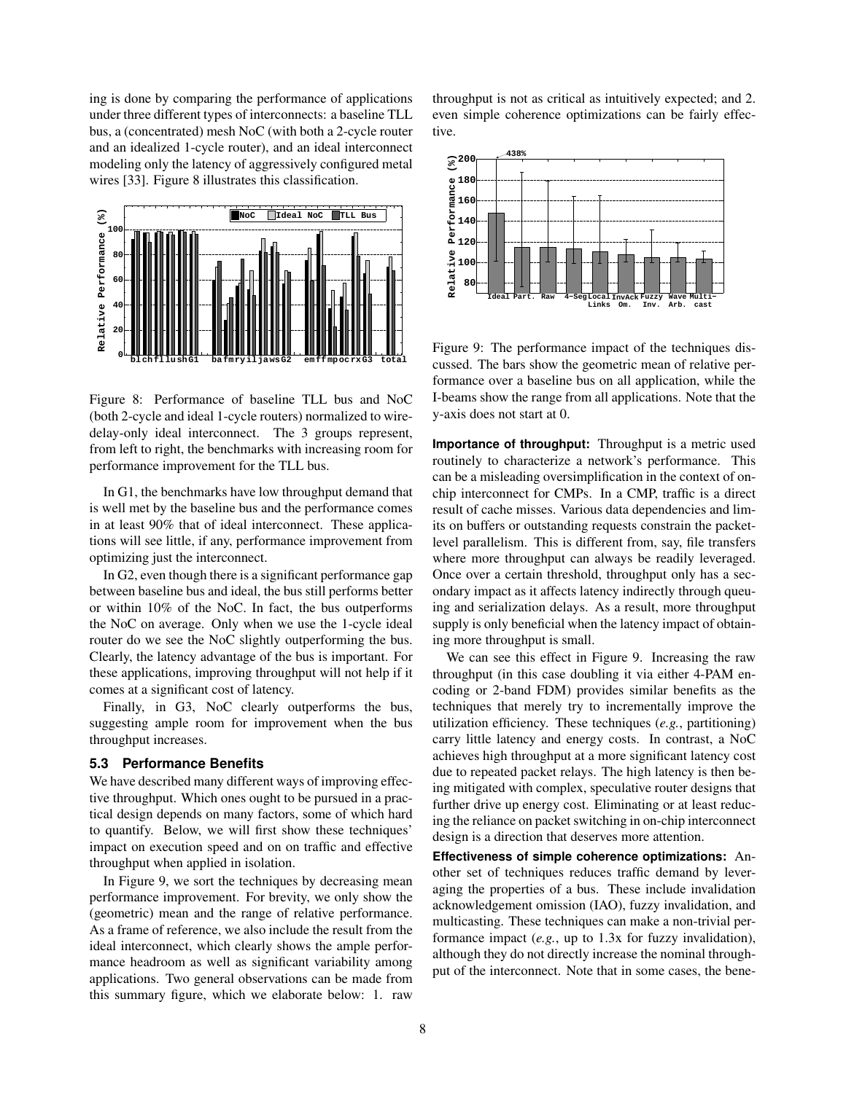ing is done by comparing the performance of applications under three different types of interconnects: a baseline TLL bus, a (concentrated) mesh NoC (with both a 2-cycle router and an idealized 1-cycle router), and an ideal interconnect modeling only the latency of aggressively configured metal wires [33]. Figure 8 illustrates this classification.



Figure 8: Performance of baseline TLL bus and NoC (both 2-cycle and ideal 1-cycle routers) normalized to wiredelay-only ideal interconnect. The 3 groups represent, from left to right, the benchmarks with increasing room for performance improvement for the TLL bus.

In G1, the benchmarks have low throughput demand that is well met by the baseline bus and the performance comes in at least 90% that of ideal interconnect. These applications will see little, if any, performance improvement from optimizing just the interconnect.

In G2, even though there is a significant performance gap between baseline bus and ideal, the bus still performs better or within 10% of the NoC. In fact, the bus outperforms the NoC on average. Only when we use the 1-cycle ideal router do we see the NoC slightly outperforming the bus. Clearly, the latency advantage of the bus is important. For these applications, improving throughput will not help if it comes at a significant cost of latency.

Finally, in G3, NoC clearly outperforms the bus, suggesting ample room for improvement when the bus throughput increases.

#### **5.3 Performance Benefits**

We have described many different ways of improving effective throughput. Which ones ought to be pursued in a practical design depends on many factors, some of which hard to quantify. Below, we will first show these techniques' impact on execution speed and on on traffic and effective throughput when applied in isolation.

In Figure 9, we sort the techniques by decreasing mean performance improvement. For brevity, we only show the (geometric) mean and the range of relative performance. As a frame of reference, we also include the result from the ideal interconnect, which clearly shows the ample performance headroom as well as significant variability among applications. Two general observations can be made from this summary figure, which we elaborate below: 1. raw

throughput is not as critical as intuitively expected; and 2. even simple coherence optimizations can be fairly effective.



Figure 9: The performance impact of the techniques discussed. The bars show the geometric mean of relative performance over a baseline bus on all application, while the I-beams show the range from all applications. Note that the y-axis does not start at 0.

**Importance of throughput:** Throughput is a metric used routinely to characterize a network's performance. This can be a misleading oversimplification in the context of onchip interconnect for CMPs. In a CMP, traffic is a direct result of cache misses. Various data dependencies and limits on buffers or outstanding requests constrain the packetlevel parallelism. This is different from, say, file transfers where more throughput can always be readily leveraged. Once over a certain threshold, throughput only has a secondary impact as it affects latency indirectly through queuing and serialization delays. As a result, more throughput supply is only beneficial when the latency impact of obtaining more throughput is small.

We can see this effect in Figure 9. Increasing the raw throughput (in this case doubling it via either 4-PAM encoding or 2-band FDM) provides similar benefits as the techniques that merely try to incrementally improve the utilization efficiency. These techniques (*e.g.*, partitioning) carry little latency and energy costs. In contrast, a NoC achieves high throughput at a more significant latency cost due to repeated packet relays. The high latency is then being mitigated with complex, speculative router designs that further drive up energy cost. Eliminating or at least reducing the reliance on packet switching in on-chip interconnect design is a direction that deserves more attention.

**Effectiveness of simple coherence optimizations:** Another set of techniques reduces traffic demand by leveraging the properties of a bus. These include invalidation acknowledgement omission (IAO), fuzzy invalidation, and multicasting. These techniques can make a non-trivial performance impact (*e.g.*, up to 1.3x for fuzzy invalidation), although they do not directly increase the nominal throughput of the interconnect. Note that in some cases, the bene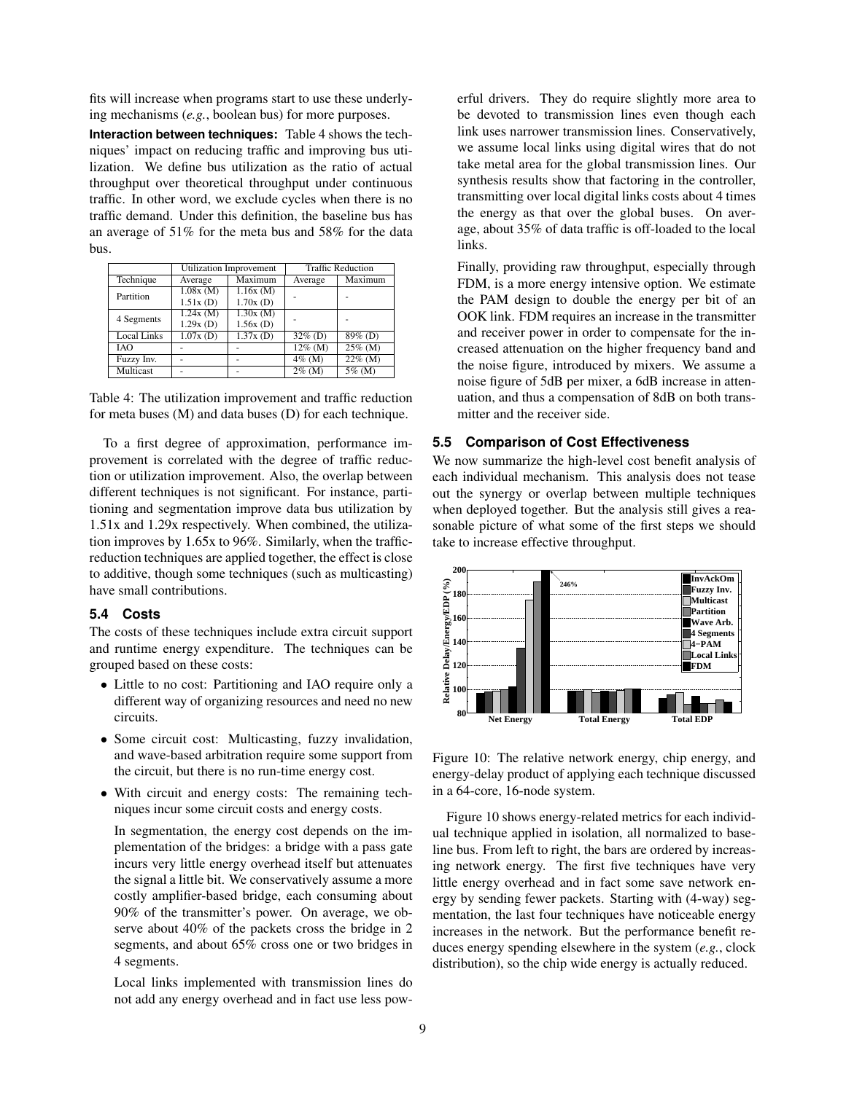fits will increase when programs start to use these underlying mechanisms (*e.g.*, boolean bus) for more purposes.

**Interaction between techniques:** Table 4 shows the techniques' impact on reducing traffic and improving bus utilization. We define bus utilization as the ratio of actual throughput over theoretical throughput under continuous traffic. In other word, we exclude cycles when there is no traffic demand. Under this definition, the baseline bus has an average of 51% for the meta bus and 58% for the data bus.

|             | <b>Utilization Improvement</b> |             | <b>Traffic Reduction</b> |            |
|-------------|--------------------------------|-------------|--------------------------|------------|
| Technique   | Average                        | Maximum     | Average                  | Maximum    |
| Partition   | 1.08x(M)                       | 1.16x(M)    |                          |            |
|             | 1.51x(D)                       | 1.70x(D)    |                          |            |
| 4 Segments  | 1.24x(M)                       | 1.30x(M)    |                          |            |
|             | 1.29x(D)                       | 1.56x(D)    |                          |            |
| Local Links | 1.07x(D)                       | $1.37x$ (D) | $32\%$ (D)               | 89% (D)    |
| <b>IAO</b>  |                                |             | $\overline{12\%}$ (M)    | $25\%$ (M) |
| Fuzzy Inv.  |                                |             | $4\%$ (M)                | $22\%$ (M) |
| Multicast   |                                |             | $2\%$ (M)                | 5% (M)     |

Table 4: The utilization improvement and traffic reduction for meta buses (M) and data buses (D) for each technique.

To a first degree of approximation, performance improvement is correlated with the degree of traffic reduction or utilization improvement. Also, the overlap between different techniques is not significant. For instance, partitioning and segmentation improve data bus utilization by 1.51x and 1.29x respectively. When combined, the utilization improves by 1.65x to 96%. Similarly, when the trafficreduction techniques are applied together, the effect is close to additive, though some techniques (such as multicasting) have small contributions.

## **5.4 Costs**

The costs of these techniques include extra circuit support and runtime energy expenditure. The techniques can be grouped based on these costs:

- Little to no cost: Partitioning and IAO require only a different way of organizing resources and need no new circuits.
- Some circuit cost: Multicasting, fuzzy invalidation, and wave-based arbitration require some support from the circuit, but there is no run-time energy cost.
- With circuit and energy costs: The remaining techniques incur some circuit costs and energy costs.

In segmentation, the energy cost depends on the implementation of the bridges: a bridge with a pass gate incurs very little energy overhead itself but attenuates the signal a little bit. We conservatively assume a more costly amplifier-based bridge, each consuming about 90% of the transmitter's power. On average, we observe about 40% of the packets cross the bridge in 2 segments, and about 65% cross one or two bridges in 4 segments.

Local links implemented with transmission lines do not add any energy overhead and in fact use less powerful drivers. They do require slightly more area to be devoted to transmission lines even though each link uses narrower transmission lines. Conservatively, we assume local links using digital wires that do not take metal area for the global transmission lines. Our synthesis results show that factoring in the controller, transmitting over local digital links costs about 4 times the energy as that over the global buses. On average, about 35% of data traffic is off-loaded to the local links.

Finally, providing raw throughput, especially through FDM, is a more energy intensive option. We estimate the PAM design to double the energy per bit of an OOK link. FDM requires an increase in the transmitter and receiver power in order to compensate for the increased attenuation on the higher frequency band and the noise figure, introduced by mixers. We assume a noise figure of 5dB per mixer, a 6dB increase in attenuation, and thus a compensation of 8dB on both transmitter and the receiver side.

## **5.5 Comparison of Cost Effectiveness**

We now summarize the high-level cost benefit analysis of each individual mechanism. This analysis does not tease out the synergy or overlap between multiple techniques when deployed together. But the analysis still gives a reasonable picture of what some of the first steps we should take to increase effective throughput.



Figure 10: The relative network energy, chip energy, and energy-delay product of applying each technique discussed in a 64-core, 16-node system.

Figure 10 shows energy-related metrics for each individual technique applied in isolation, all normalized to baseline bus. From left to right, the bars are ordered by increasing network energy. The first five techniques have very little energy overhead and in fact some save network energy by sending fewer packets. Starting with (4-way) segmentation, the last four techniques have noticeable energy increases in the network. But the performance benefit reduces energy spending elsewhere in the system (*e.g.*, clock distribution), so the chip wide energy is actually reduced.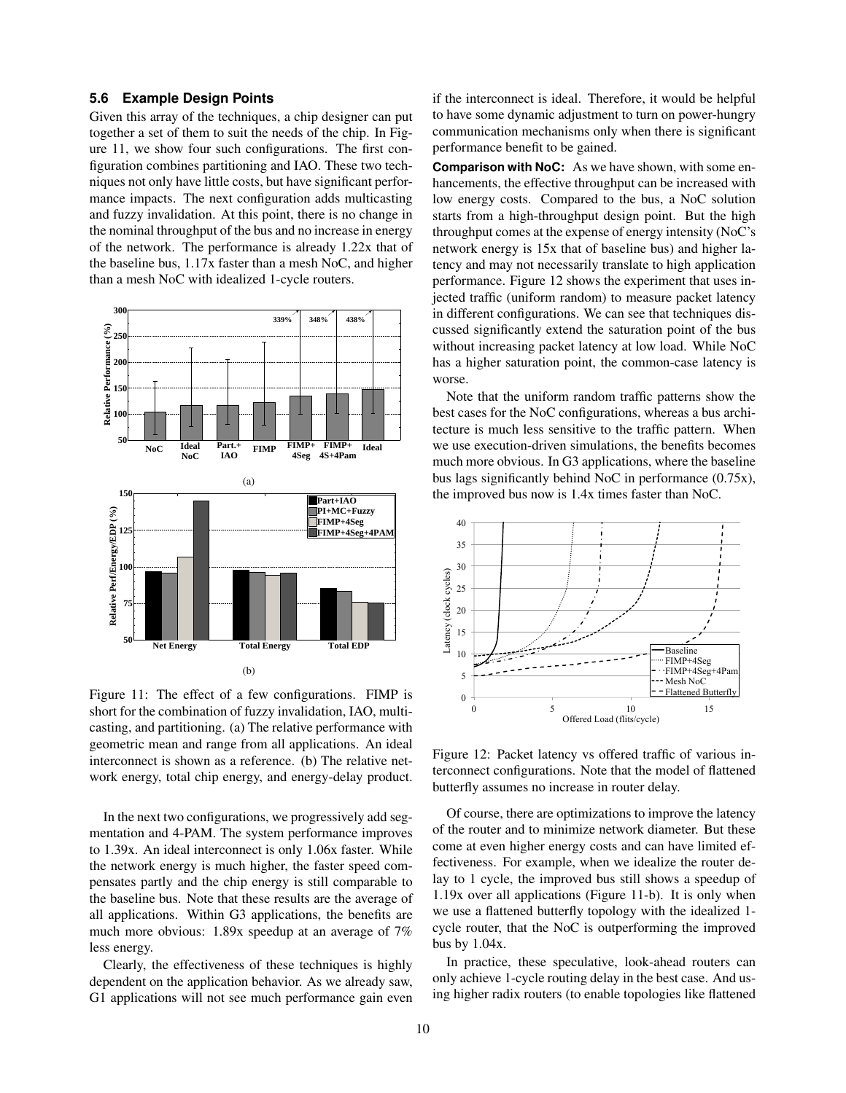## **5.6 Example Design Points**

Given this array of the techniques, a chip designer can put together a set of them to suit the needs of the chip. In Figure 11, we show four such configurations. The first configuration combines partitioning and IAO. These two techniques not only have little costs, but have significant performance impacts. The next configuration adds multicasting and fuzzy invalidation. At this point, there is no change in the nominal throughput of the bus and no increase in energy of the network. The performance is already 1.22x that of the baseline bus, 1.17x faster than a mesh NoC, and higher than a mesh NoC with idealized 1-cycle routers.



Figure 11: The effect of a few configurations. FIMP is short for the combination of fuzzy invalidation, IAO, multicasting, and partitioning. (a) The relative performance with geometric mean and range from all applications. An ideal interconnect is shown as a reference. (b) The relative network energy, total chip energy, and energy-delay product.

In the next two configurations, we progressively add segmentation and 4-PAM. The system performance improves to 1.39x. An ideal interconnect is only 1.06x faster. While the network energy is much higher, the faster speed compensates partly and the chip energy is still comparable to the baseline bus. Note that these results are the average of all applications. Within G3 applications, the benefits are much more obvious: 1.89x speedup at an average of 7% less energy.

Clearly, the effectiveness of these techniques is highly dependent on the application behavior. As we already saw, G1 applications will not see much performance gain even if the interconnect is ideal. Therefore, it would be helpful to have some dynamic adjustment to turn on power-hungry communication mechanisms only when there is significant performance benefit to be gained.

**Comparison with NoC:** As we have shown, with some enhancements, the effective throughput can be increased with low energy costs. Compared to the bus, a NoC solution starts from a high-throughput design point. But the high throughput comes at the expense of energy intensity (NoC's network energy is 15x that of baseline bus) and higher latency and may not necessarily translate to high application performance. Figure 12 shows the experiment that uses injected traffic (uniform random) to measure packet latency in different configurations. We can see that techniques discussed significantly extend the saturation point of the bus without increasing packet latency at low load. While NoC has a higher saturation point, the common-case latency is worse.

Note that the uniform random traffic patterns show the best cases for the NoC configurations, whereas a bus architecture is much less sensitive to the traffic pattern. When we use execution-driven simulations, the benefits becomes much more obvious. In G3 applications, where the baseline bus lags significantly behind NoC in performance (0.75x), the improved bus now is 1.4x times faster than NoC.



Figure 12: Packet latency vs offered traffic of various interconnect configurations. Note that the model of flattened butterfly assumes no increase in router delay.

Of course, there are optimizations to improve the latency of the router and to minimize network diameter. But these come at even higher energy costs and can have limited effectiveness. For example, when we idealize the router delay to 1 cycle, the improved bus still shows a speedup of 1.19x over all applications (Figure 11-b). It is only when we use a flattened butterfly topology with the idealized 1 cycle router, that the NoC is outperforming the improved bus by  $1.04x$ .

In practice, these speculative, look-ahead routers can only achieve 1-cycle routing delay in the best case. And using higher radix routers (to enable topologies like flattened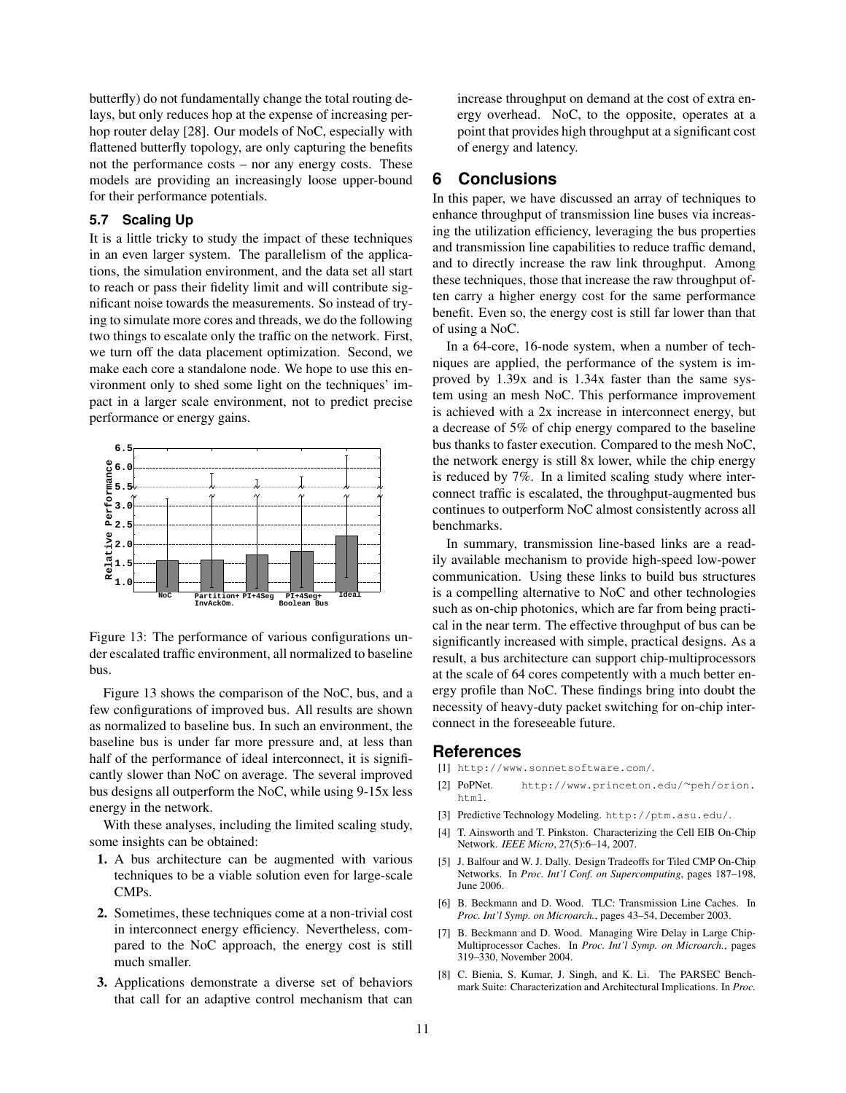butterfly) do not fundamentally change the total routing delays, but only reduces hop at the expense of increasing perhop router delay [28]. Our models of NoC, especially with flattened butterfly topology, are only capturing the benefits not the performance costs – nor any energy costs. These models are providing an increasingly loose upper-bound for their performance potentials.

## **5.7 Scaling Up**

It is a little tricky to study the impact of these techniques in an even larger system. The parallelism of the applications, the simulation environment, and the data set all start to reach or pass their fidelity limit and will contribute significant noise towards the measurements. So instead of trying to simulate more cores and threads, we do the following two things to escalate only the traffic on the network. First, we turn off the data placement optimization. Second, we make each core a standalone node. We hope to use this environment only to shed some light on the techniques' impact in a larger scale environment, not to predict precise performance or energy gains.



Figure 13: The performance of various configurations under escalated traffic environment, all normalized to baseline bus.

Figure 13 shows the comparison of the NoC, bus, and a few configurations of improved bus. All results are shown as normalized to baseline bus. In such an environment, the baseline bus is under far more pressure and, at less than half of the performance of ideal interconnect, it is significantly slower than NoC on average. The several improved bus designs all outperform the NoC, while using 9-15x less energy in the network.

With these analyses, including the limited scaling study, some insights can be obtained:

- 1. A bus architecture can be augmented with various techniques to be a viable solution even for large-scale CMPs.
- 2. Sometimes, these techniques come at a non-trivial cost in interconnect energy efficiency. Nevertheless, compared to the NoC approach, the energy cost is still much smaller.
- 3. Applications demonstrate a diverse set of behaviors that call for an adaptive control mechanism that can

increase throughput on demand at the cost of extra energy overhead. NoC, to the opposite, operates at a point that provides high throughput at a significant cost of energy and latency.

## **6 Conclusions**

In this paper, we have discussed an array of techniques to enhance throughput of transmission line buses via increasing the utilization efficiency, leveraging the bus properties and transmission line capabilities to reduce traffic demand, and to directly increase the raw link throughput. Among these techniques, those that increase the raw throughput often carry a higher energy cost for the same performance benefit. Even so, the energy cost is still far lower than that of using a NoC.

In a 64-core, 16-node system, when a number of techniques are applied, the performance of the system is improved by 1.39x and is 1.34x faster than the same system using an mesh NoC. This performance improvement is achieved with a 2x increase in interconnect energy, but a decrease of 5% of chip energy compared to the baseline bus thanks to faster execution. Compared to the mesh NoC, the network energy is still 8x lower, while the chip energy is reduced by 7%. In a limited scaling study where interconnect traffic is escalated, the throughput-augmented bus continues to outperform NoC almost consistently across all benchmarks.

In summary, transmission line-based links are a readily available mechanism to provide high-speed low-power communication. Using these links to build bus structures is a compelling alternative to NoC and other technologies such as on-chip photonics, which are far from being practical in the near term. The effective throughput of bus can be significantly increased with simple, practical designs. As a result, a bus architecture can support chip-multiprocessors at the scale of 64 cores competently with a much better energy profile than NoC. These findings bring into doubt the necessity of heavy-duty packet switching for on-chip interconnect in the foreseeable future.

#### **References**

- [1] http://www.sonnetsoftware.com/.
- [2] PoPNet. http://www.princeton.edu/∼peh/orion. html.
- [3] Predictive Technology Modeling. http://ptm.asu.edu/.
- [4] T. Ainsworth and T. Pinkston. Characterizing the Cell EIB On-Chip Network. *IEEE Micro*, 27(5):6–14, 2007.
- [5] J. Balfour and W. J. Dally. Design Tradeoffs for Tiled CMP On-Chip Networks. In *Proc. Int'l Conf. on Supercomputing*, pages 187–198, June 2006.
- [6] B. Beckmann and D. Wood. TLC: Transmission Line Caches. In *Proc. Int'l Symp. on Microarch.*, pages 43–54, December 2003.
- [7] B. Beckmann and D. Wood. Managing Wire Delay in Large Chip-Multiprocessor Caches. In *Proc. Int'l Symp. on Microarch.*, pages 319–330, November 2004.
- [8] C. Bienia, S. Kumar, J. Singh, and K. Li. The PARSEC Benchmark Suite: Characterization and Architectural Implications. In *Proc.*